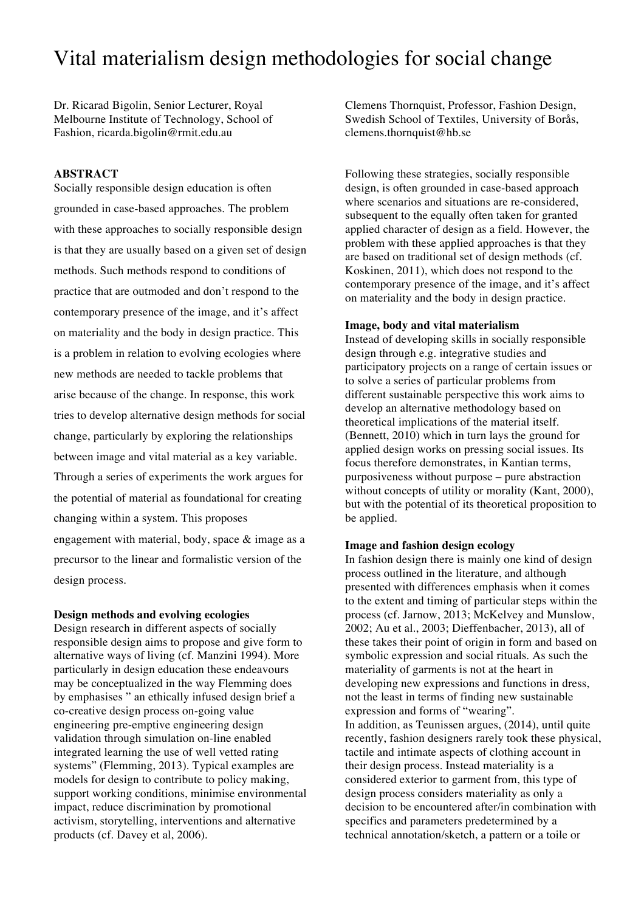# Vital materialism design methodologies for social change

Dr. Ricarad Bigolin, Senior Lecturer, Royal Melbourne Institute of Technology, School of Fashion, ricarda.bigolin@rmit.edu.au

## **ABSTRACT**

Socially responsible design education is often grounded in case-based approaches. The problem with these approaches to socially responsible design is that they are usually based on a given set of design methods. Such methods respond to conditions of practice that are outmoded and don't respond to the contemporary presence of the image, and it's affect on materiality and the body in design practice. This is a problem in relation to evolving ecologies where new methods are needed to tackle problems that arise because of the change. In response, this work tries to develop alternative design methods for social change, particularly by exploring the relationships between image and vital material as a key variable. Through a series of experiments the work argues for the potential of material as foundational for creating changing within a system. This proposes engagement with material, body, space & image as a precursor to the linear and formalistic version of the design process.

#### **Design methods and evolving ecologies**

Design research in different aspects of socially responsible design aims to propose and give form to alternative ways of living (cf. Manzini 1994). More particularly in design education these endeavours may be conceptualized in the way Flemming does by emphasises " an ethically infused design brief a co-creative design process on-going value engineering pre-emptive engineering design validation through simulation on-line enabled integrated learning the use of well vetted rating systems" (Flemming, 2013). Typical examples are models for design to contribute to policy making, support working conditions, minimise environmental impact, reduce discrimination by promotional activism, storytelling, interventions and alternative products (cf. Davey et al, 2006).

Clemens Thornquist, Professor, Fashion Design, Swedish School of Textiles, University of Borås, clemens.thornquist@hb.se

Following these strategies, socially responsible design, is often grounded in case-based approach where scenarios and situations are re-considered, subsequent to the equally often taken for granted applied character of design as a field. However, the problem with these applied approaches is that they are based on traditional set of design methods (cf. Koskinen, 2011), which does not respond to the contemporary presence of the image, and it's affect on materiality and the body in design practice.

## **Image, body and vital materialism**

Instead of developing skills in socially responsible design through e.g. integrative studies and participatory projects on a range of certain issues or to solve a series of particular problems from different sustainable perspective this work aims to develop an alternative methodology based on theoretical implications of the material itself. (Bennett, 2010) which in turn lays the ground for applied design works on pressing social issues. Its focus therefore demonstrates, in Kantian terms, purposiveness without purpose – pure abstraction without concepts of utility or morality (Kant, 2000), but with the potential of its theoretical proposition to be applied.

#### **Image and fashion design ecology**

In fashion design there is mainly one kind of design process outlined in the literature, and although presented with differences emphasis when it comes to the extent and timing of particular steps within the process (cf. Jarnow, 2013; McKelvey and Munslow, 2002; Au et al., 2003; Dieffenbacher, 2013), all of these takes their point of origin in form and based on symbolic expression and social rituals. As such the materiality of garments is not at the heart in developing new expressions and functions in dress, not the least in terms of finding new sustainable expression and forms of "wearing". In addition, as Teunissen argues, (2014), until quite recently, fashion designers rarely took these physical, tactile and intimate aspects of clothing account in their design process. Instead materiality is a considered exterior to garment from, this type of design process considers materiality as only a decision to be encountered after/in combination with specifics and parameters predetermined by a technical annotation/sketch, a pattern or a toile or